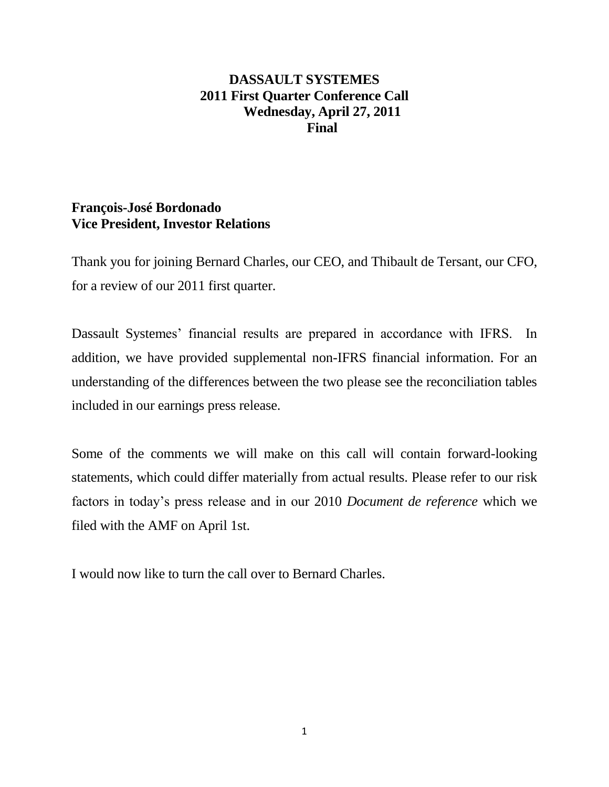# **DASSAULT SYSTEMES 2011 First Quarter Conference Call Wednesday, April 27, 2011 Final**

# **François-José Bordonado Vice President, Investor Relations**

Thank you for joining Bernard Charles, our CEO, and Thibault de Tersant, our CFO, for a review of our 2011 first quarter.

Dassault Systemes' financial results are prepared in accordance with IFRS. In addition, we have provided supplemental non-IFRS financial information. For an understanding of the differences between the two please see the reconciliation tables included in our earnings press release.

Some of the comments we will make on this call will contain forward-looking statements, which could differ materially from actual results. Please refer to our risk factors in today's press release and in our 2010 *Document de reference* which we filed with the AMF on April 1st.

I would now like to turn the call over to Bernard Charles.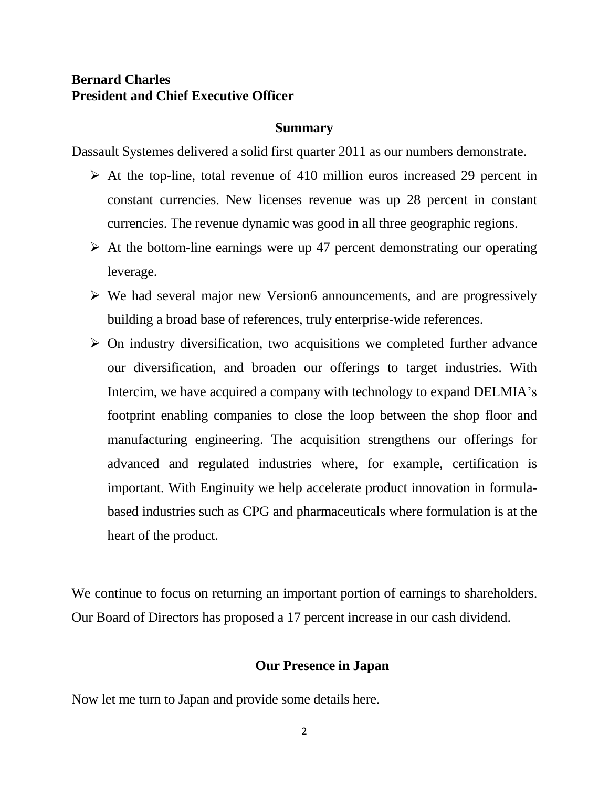# **Bernard Charles President and Chief Executive Officer**

## **Summary**

Dassault Systemes delivered a solid first quarter 2011 as our numbers demonstrate.

- $\triangleright$  At the top-line, total revenue of 410 million euros increased 29 percent in constant currencies. New licenses revenue was up 28 percent in constant currencies. The revenue dynamic was good in all three geographic regions.
- $\triangleright$  At the bottom-line earnings were up 47 percent demonstrating our operating leverage.
- $\triangleright$  We had several major new Version6 announcements, and are progressively building a broad base of references, truly enterprise-wide references.
- $\triangleright$  On industry diversification, two acquisitions we completed further advance our diversification, and broaden our offerings to target industries. With Intercim, we have acquired a company with technology to expand DELMIA's footprint enabling companies to close the loop between the shop floor and manufacturing engineering. The acquisition strengthens our offerings for advanced and regulated industries where, for example, certification is important. With Enginuity we help accelerate product innovation in formulabased industries such as CPG and pharmaceuticals where formulation is at the heart of the product.

We continue to focus on returning an important portion of earnings to shareholders. Our Board of Directors has proposed a 17 percent increase in our cash dividend.

## **Our Presence in Japan**

Now let me turn to Japan and provide some details here.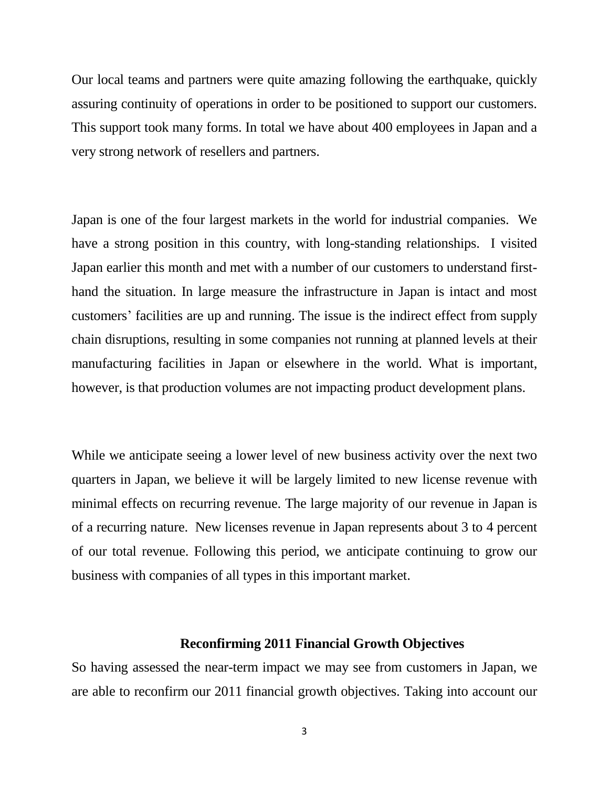Our local teams and partners were quite amazing following the earthquake, quickly assuring continuity of operations in order to be positioned to support our customers. This support took many forms. In total we have about 400 employees in Japan and a very strong network of resellers and partners.

Japan is one of the four largest markets in the world for industrial companies. We have a strong position in this country, with long-standing relationships. I visited Japan earlier this month and met with a number of our customers to understand firsthand the situation. In large measure the infrastructure in Japan is intact and most customers' facilities are up and running. The issue is the indirect effect from supply chain disruptions, resulting in some companies not running at planned levels at their manufacturing facilities in Japan or elsewhere in the world. What is important, however, is that production volumes are not impacting product development plans.

While we anticipate seeing a lower level of new business activity over the next two quarters in Japan, we believe it will be largely limited to new license revenue with minimal effects on recurring revenue. The large majority of our revenue in Japan is of a recurring nature. New licenses revenue in Japan represents about 3 to 4 percent of our total revenue. Following this period, we anticipate continuing to grow our business with companies of all types in this important market.

#### **Reconfirming 2011 Financial Growth Objectives**

So having assessed the near-term impact we may see from customers in Japan, we are able to reconfirm our 2011 financial growth objectives. Taking into account our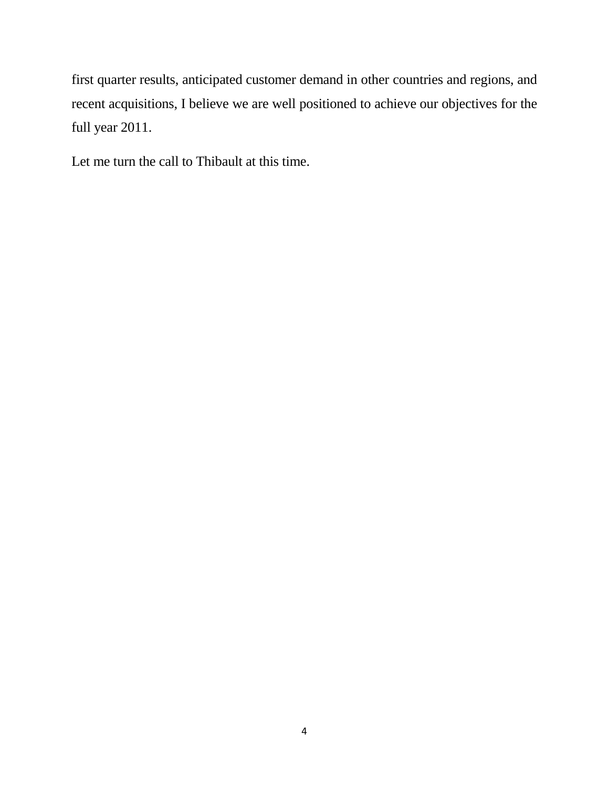first quarter results, anticipated customer demand in other countries and regions, and recent acquisitions, I believe we are well positioned to achieve our objectives for the full year 2011.

Let me turn the call to Thibault at this time.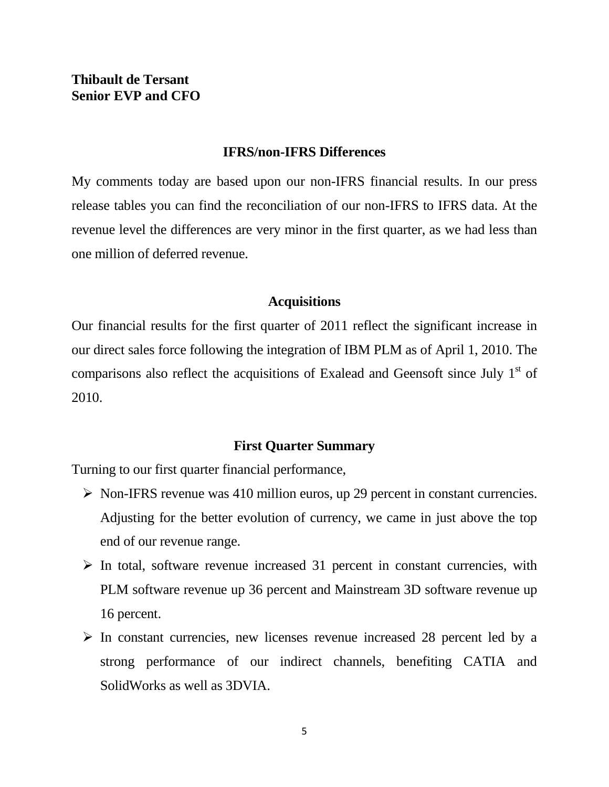# **Thibault de Tersant Senior EVP and CFO**

## **IFRS/non-IFRS Differences**

My comments today are based upon our non-IFRS financial results. In our press release tables you can find the reconciliation of our non-IFRS to IFRS data. At the revenue level the differences are very minor in the first quarter, as we had less than one million of deferred revenue.

## **Acquisitions**

Our financial results for the first quarter of 2011 reflect the significant increase in our direct sales force following the integration of IBM PLM as of April 1, 2010. The comparisons also reflect the acquisitions of Exalead and Geensoft since July  $1<sup>st</sup>$  of 2010.

## **First Quarter Summary**

Turning to our first quarter financial performance,

- $\triangleright$  Non-IFRS revenue was 410 million euros, up 29 percent in constant currencies. Adjusting for the better evolution of currency, we came in just above the top end of our revenue range.
- $\triangleright$  In total, software revenue increased 31 percent in constant currencies, with PLM software revenue up 36 percent and Mainstream 3D software revenue up 16 percent.
- $\triangleright$  In constant currencies, new licenses revenue increased 28 percent led by a strong performance of our indirect channels, benefiting CATIA and SolidWorks as well as 3DVIA.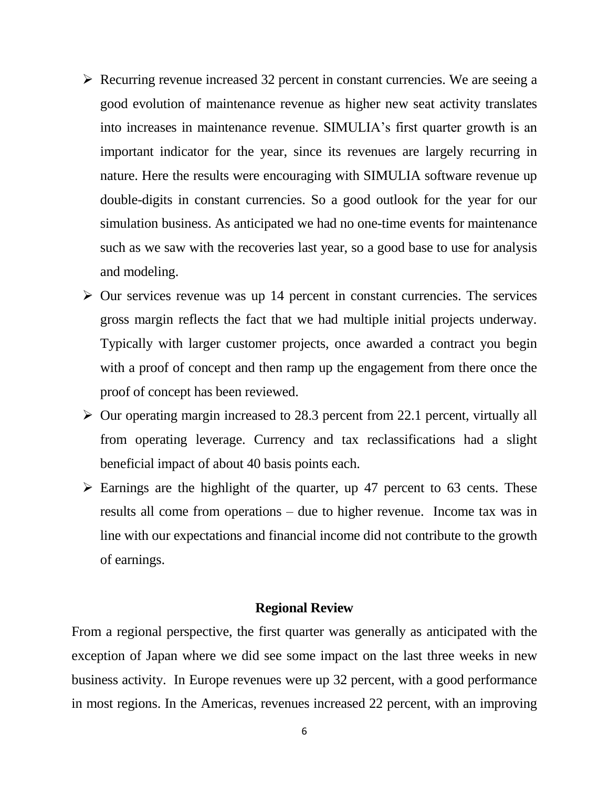- $\triangleright$  Recurring revenue increased 32 percent in constant currencies. We are seeing a good evolution of maintenance revenue as higher new seat activity translates into increases in maintenance revenue. SIMULIA's first quarter growth is an important indicator for the year, since its revenues are largely recurring in nature. Here the results were encouraging with SIMULIA software revenue up double-digits in constant currencies. So a good outlook for the year for our simulation business. As anticipated we had no one-time events for maintenance such as we saw with the recoveries last year, so a good base to use for analysis and modeling.
- $\triangleright$  Our services revenue was up 14 percent in constant currencies. The services gross margin reflects the fact that we had multiple initial projects underway. Typically with larger customer projects, once awarded a contract you begin with a proof of concept and then ramp up the engagement from there once the proof of concept has been reviewed.
- $\triangleright$  Our operating margin increased to 28.3 percent from 22.1 percent, virtually all from operating leverage. Currency and tax reclassifications had a slight beneficial impact of about 40 basis points each.
- $\triangleright$  Earnings are the highlight of the quarter, up 47 percent to 63 cents. These results all come from operations – due to higher revenue. Income tax was in line with our expectations and financial income did not contribute to the growth of earnings.

## **Regional Review**

From a regional perspective, the first quarter was generally as anticipated with the exception of Japan where we did see some impact on the last three weeks in new business activity. In Europe revenues were up 32 percent, with a good performance in most regions. In the Americas, revenues increased 22 percent, with an improving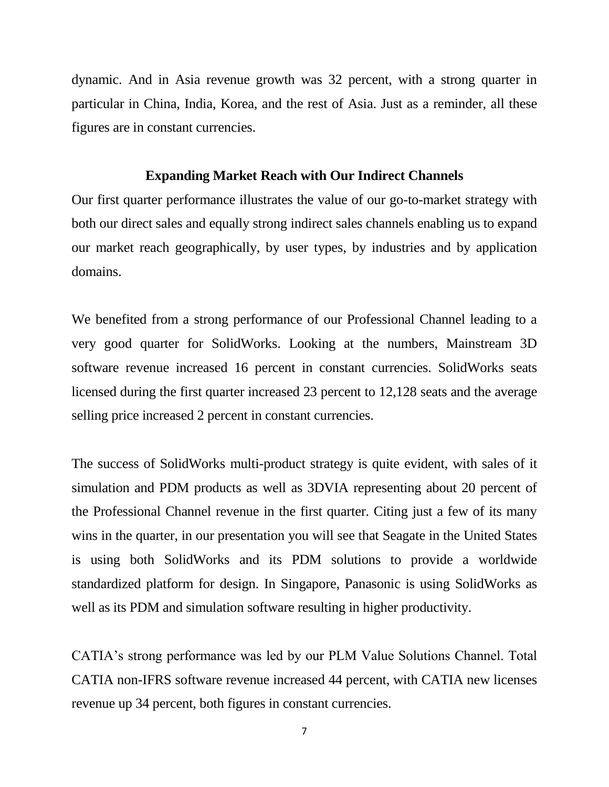dynamic. And in Asia revenue growth was 32 percent, with a strong quarter in particular in China, India, Korea, and the rest of Asia. Just as a reminder, all these figures are in constant currencies.

## **Expanding Market Reach with Our Indirect Channels**

Our first quarter performance illustrates the value of our go-to-market strategy with both our direct sales and equally strong indirect sales channels enabling us to expand our market reach geographically, by user types, by industries and by application domains.

We benefited from a strong performance of our Professional Channel leading to a very good quarter for SolidWorks. Looking at the numbers, Mainstream 3D software revenue increased 16 percent in constant currencies. SolidWorks seats licensed during the first quarter increased 23 percent to 12,128 seats and the average selling price increased 2 percent in constant currencies.

The success of SolidWorks multi-product strategy is quite evident, with sales of it simulation and PDM products as well as 3DVIA representing about 20 percent of the Professional Channel revenue in the first quarter. Citing just a few of its many wins in the quarter, in our presentation you will see that Seagate in the United States is using both SolidWorks and its PDM solutions to provide a worldwide standardized platform for design. In Singapore, Panasonic is using SolidWorks as well as its PDM and simulation software resulting in higher productivity.

CATIA's strong performance was led by our PLM Value Solutions Channel. Total CATIA non-IFRS software revenue increased 44 percent, with CATIA new licenses revenue up 34 percent, both figures in constant currencies.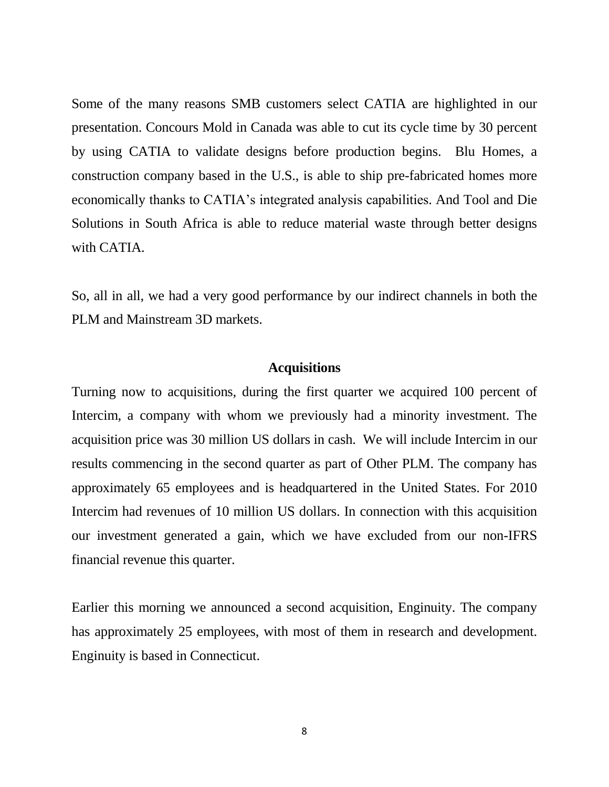Some of the many reasons SMB customers select CATIA are highlighted in our presentation. Concours Mold in Canada was able to cut its cycle time by 30 percent by using CATIA to validate designs before production begins. Blu Homes, a construction company based in the U.S., is able to ship pre-fabricated homes more economically thanks to CATIA's integrated analysis capabilities. And Tool and Die Solutions in South Africa is able to reduce material waste through better designs with CATIA.

So, all in all, we had a very good performance by our indirect channels in both the PLM and Mainstream 3D markets.

## **Acquisitions**

Turning now to acquisitions, during the first quarter we acquired 100 percent of Intercim, a company with whom we previously had a minority investment. The acquisition price was 30 million US dollars in cash. We will include Intercim in our results commencing in the second quarter as part of Other PLM. The company has approximately 65 employees and is headquartered in the United States. For 2010 Intercim had revenues of 10 million US dollars. In connection with this acquisition our investment generated a gain, which we have excluded from our non-IFRS financial revenue this quarter.

Earlier this morning we announced a second acquisition, Enginuity. The company has approximately 25 employees, with most of them in research and development. Enginuity is based in Connecticut.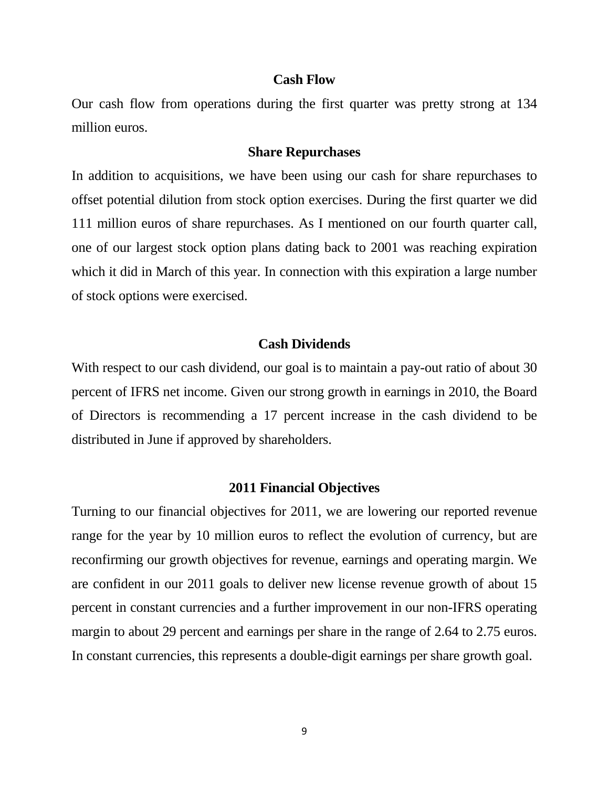#### **Cash Flow**

Our cash flow from operations during the first quarter was pretty strong at 134 million euros.

#### **Share Repurchases**

In addition to acquisitions, we have been using our cash for share repurchases to offset potential dilution from stock option exercises. During the first quarter we did 111 million euros of share repurchases. As I mentioned on our fourth quarter call, one of our largest stock option plans dating back to 2001 was reaching expiration which it did in March of this year. In connection with this expiration a large number of stock options were exercised.

## **Cash Dividends**

With respect to our cash dividend, our goal is to maintain a pay-out ratio of about 30 percent of IFRS net income. Given our strong growth in earnings in 2010, the Board of Directors is recommending a 17 percent increase in the cash dividend to be distributed in June if approved by shareholders.

## **2011 Financial Objectives**

Turning to our financial objectives for 2011, we are lowering our reported revenue range for the year by 10 million euros to reflect the evolution of currency, but are reconfirming our growth objectives for revenue, earnings and operating margin. We are confident in our 2011 goals to deliver new license revenue growth of about 15 percent in constant currencies and a further improvement in our non-IFRS operating margin to about 29 percent and earnings per share in the range of 2.64 to 2.75 euros. In constant currencies, this represents a double-digit earnings per share growth goal.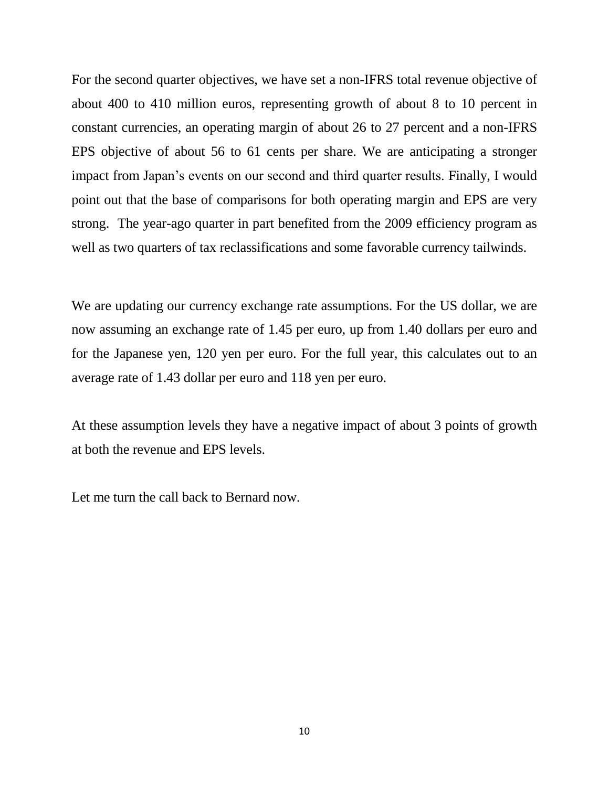For the second quarter objectives, we have set a non-IFRS total revenue objective of about 400 to 410 million euros, representing growth of about 8 to 10 percent in constant currencies, an operating margin of about 26 to 27 percent and a non-IFRS EPS objective of about 56 to 61 cents per share. We are anticipating a stronger impact from Japan's events on our second and third quarter results. Finally, I would point out that the base of comparisons for both operating margin and EPS are very strong. The year-ago quarter in part benefited from the 2009 efficiency program as well as two quarters of tax reclassifications and some favorable currency tailwinds.

We are updating our currency exchange rate assumptions. For the US dollar, we are now assuming an exchange rate of 1.45 per euro, up from 1.40 dollars per euro and for the Japanese yen, 120 yen per euro. For the full year, this calculates out to an average rate of 1.43 dollar per euro and 118 yen per euro.

At these assumption levels they have a negative impact of about 3 points of growth at both the revenue and EPS levels.

Let me turn the call back to Bernard now.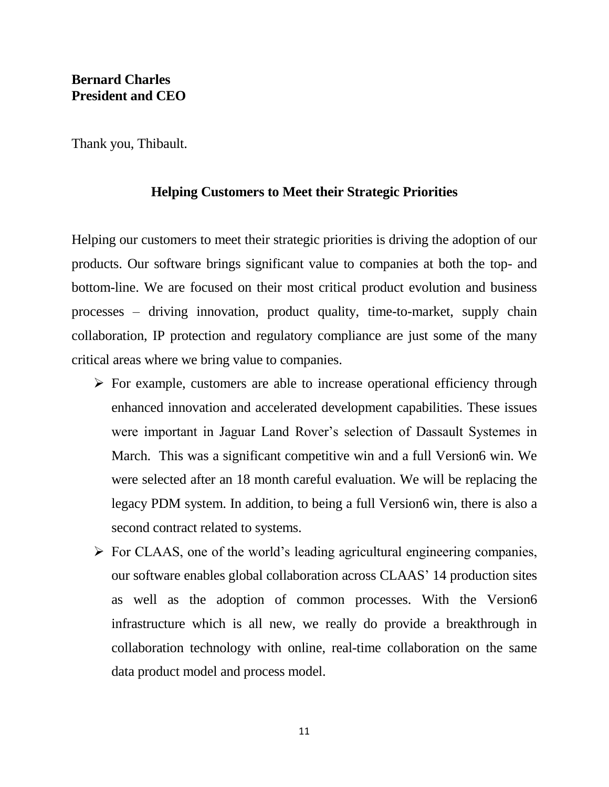Thank you, Thibault.

## **Helping Customers to Meet their Strategic Priorities**

Helping our customers to meet their strategic priorities is driving the adoption of our products. Our software brings significant value to companies at both the top- and bottom-line. We are focused on their most critical product evolution and business processes – driving innovation, product quality, time-to-market, supply chain collaboration, IP protection and regulatory compliance are just some of the many critical areas where we bring value to companies.

- $\triangleright$  For example, customers are able to increase operational efficiency through enhanced innovation and accelerated development capabilities. These issues were important in Jaguar Land Rover's selection of Dassault Systemes in March. This was a significant competitive win and a full Version6 win. We were selected after an 18 month careful evaluation. We will be replacing the legacy PDM system. In addition, to being a full Version6 win, there is also a second contract related to systems.
- $\triangleright$  For CLAAS, one of the world's leading agricultural engineering companies, our software enables global collaboration across CLAAS' 14 production sites as well as the adoption of common processes. With the Version6 infrastructure which is all new, we really do provide a breakthrough in collaboration technology with online, real-time collaboration on the same data product model and process model.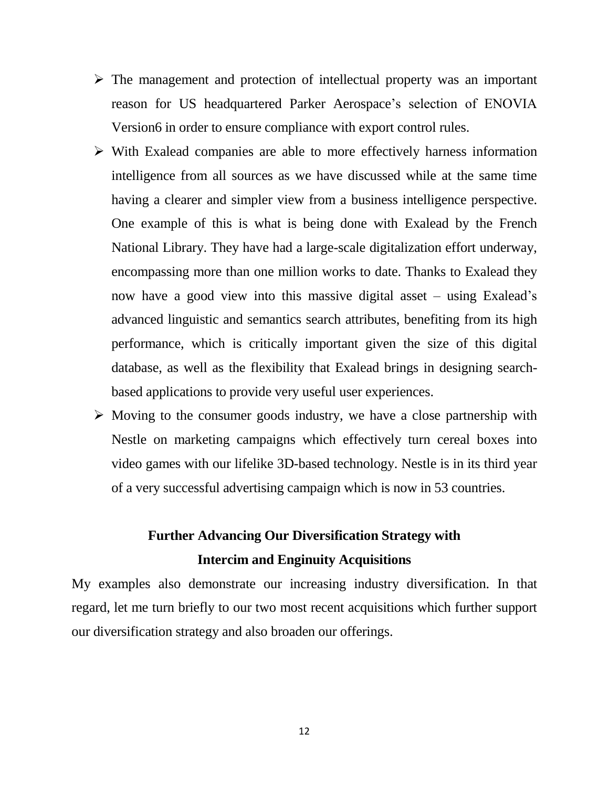- $\triangleright$  The management and protection of intellectual property was an important reason for US headquartered Parker Aerospace's selection of ENOVIA Version6 in order to ensure compliance with export control rules.
- $\triangleright$  With Exalead companies are able to more effectively harness information intelligence from all sources as we have discussed while at the same time having a clearer and simpler view from a business intelligence perspective. One example of this is what is being done with Exalead by the French National Library. They have had a large-scale digitalization effort underway, encompassing more than one million works to date. Thanks to Exalead they now have a good view into this massive digital asset – using Exalead's advanced linguistic and semantics search attributes, benefiting from its high performance, which is critically important given the size of this digital database, as well as the flexibility that Exalead brings in designing searchbased applications to provide very useful user experiences.
- $\triangleright$  Moving to the consumer goods industry, we have a close partnership with Nestle on marketing campaigns which effectively turn cereal boxes into video games with our lifelike 3D-based technology. Nestle is in its third year of a very successful advertising campaign which is now in 53 countries.

# **Further Advancing Our Diversification Strategy with Intercim and Enginuity Acquisitions**

My examples also demonstrate our increasing industry diversification. In that regard, let me turn briefly to our two most recent acquisitions which further support our diversification strategy and also broaden our offerings.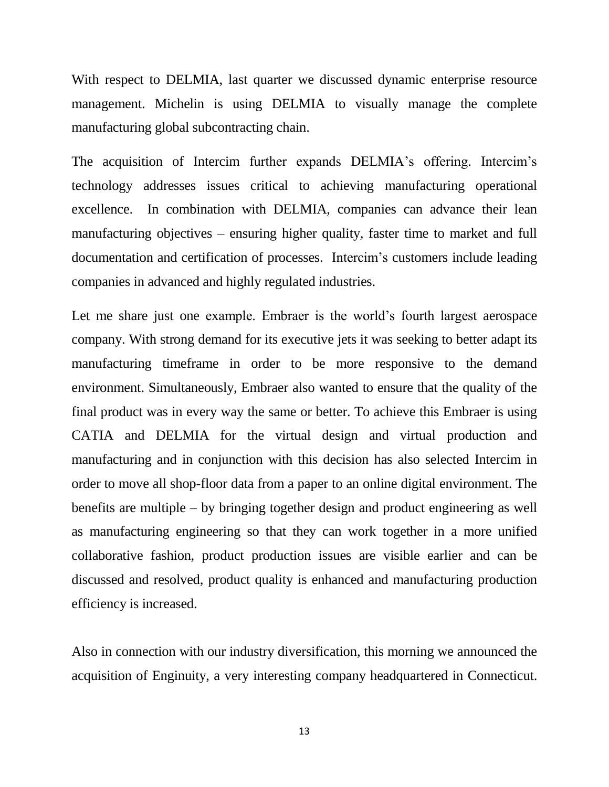With respect to DELMIA, last quarter we discussed dynamic enterprise resource management. Michelin is using DELMIA to visually manage the complete manufacturing global subcontracting chain.

The acquisition of Intercim further expands DELMIA's offering. Intercim's technology addresses issues critical to achieving manufacturing operational excellence. In combination with DELMIA, companies can advance their lean manufacturing objectives – ensuring higher quality, faster time to market and full documentation and certification of processes. Intercim's customers include leading companies in advanced and highly regulated industries.

Let me share just one example. Embraer is the world's fourth largest aerospace company. With strong demand for its executive jets it was seeking to better adapt its manufacturing timeframe in order to be more responsive to the demand environment. Simultaneously, Embraer also wanted to ensure that the quality of the final product was in every way the same or better. To achieve this Embraer is using CATIA and DELMIA for the virtual design and virtual production and manufacturing and in conjunction with this decision has also selected Intercim in order to move all shop-floor data from a paper to an online digital environment. The benefits are multiple – by bringing together design and product engineering as well as manufacturing engineering so that they can work together in a more unified collaborative fashion, product production issues are visible earlier and can be discussed and resolved, product quality is enhanced and manufacturing production efficiency is increased.

Also in connection with our industry diversification, this morning we announced the acquisition of Enginuity, a very interesting company headquartered in Connecticut.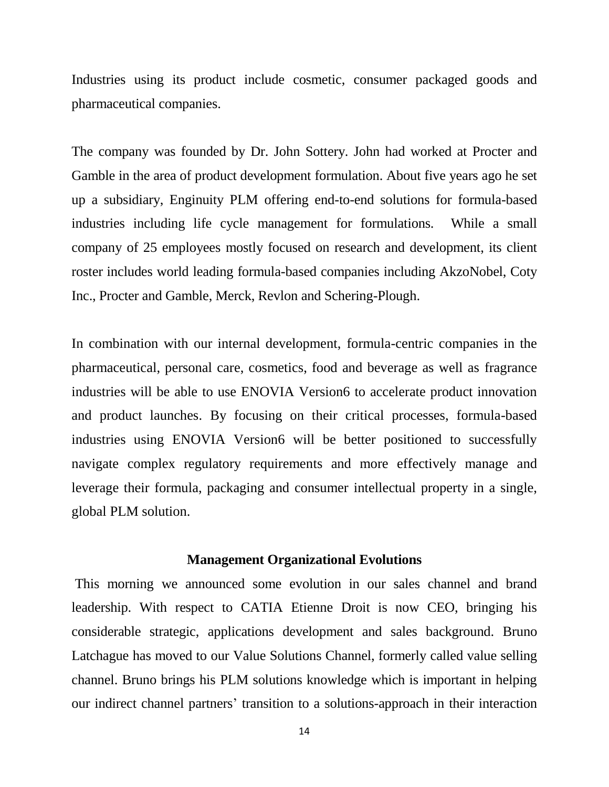Industries using its product include cosmetic, consumer packaged goods and pharmaceutical companies.

The company was founded by Dr. John Sottery. John had worked at Procter and Gamble in the area of product development formulation. About five years ago he set up a subsidiary, Enginuity PLM offering end-to-end solutions for formula-based industries including life cycle management for formulations. While a small company of 25 employees mostly focused on research and development, its client roster includes world leading formula-based companies including AkzoNobel, Coty Inc., Procter and Gamble, Merck, Revlon and Schering-Plough.

In combination with our internal development, formula-centric companies in the pharmaceutical, personal care, cosmetics, food and beverage as well as fragrance industries will be able to use ENOVIA Version6 to accelerate product innovation and product launches. By focusing on their critical processes, formula-based industries using ENOVIA Version6 will be better positioned to successfully navigate complex regulatory requirements and more effectively manage and leverage their formula, packaging and consumer intellectual property in a single, global PLM solution.

#### **Management Organizational Evolutions**

This morning we announced some evolution in our sales channel and brand leadership. With respect to CATIA Etienne Droit is now CEO, bringing his considerable strategic, applications development and sales background. Bruno Latchague has moved to our Value Solutions Channel, formerly called value selling channel. Bruno brings his PLM solutions knowledge which is important in helping our indirect channel partners' transition to a solutions-approach in their interaction